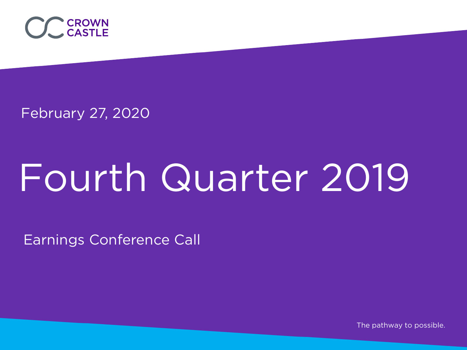

February 27, 2020

# Fourth Quarter 2019

Earnings Conference Call

The pathway to possible.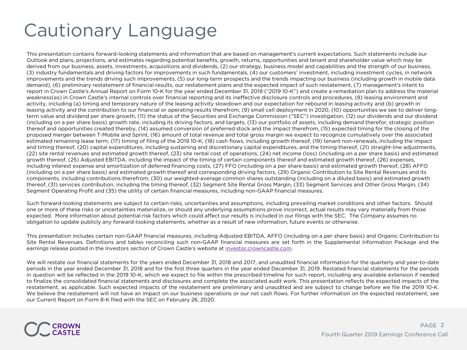# Cautionary Language

This presentation contains forward-looking statements and information that are based on management's current expectations. Such statements include our Outlook and plans, projections, and estimates regarding potential benefits, growth, returns, opportunities and tenant and shareholder value which may be derived from our business, assets, investments, acquisitions and dividends, (2) our strategy, business model and capabilities and the strength of our business, (3) industry fundamentals and driving factors for improvements in such fundamentals, (4) our customers' investment, including investment cycles, in network improvements and the trends driving such improvements, (5) our long-term prospects and the trends impacting our business (including growth in mobile data demand), (6) preliminary restatement of financial results, our restatement plans and the expected impact of such restatement, (7) management's intent to report in Crown Castle's Annual Report on Form 10-K for the year ended December 31, 2019 ("2019 10-K") and create a remediation plan to address the material weakness(es) in Crown Castle's internal controls over financial reporting and its ineffective disclosure controls and procedures, (8) leasing environment and activity, including (a) timing and temporary nature of the leasing activity slowdown and our expectation for rebound in leasing activity and (b) growth in leasing activity and the contribution to our financial or operating results therefrom, (9) small cell deployment in 2020, (10) opportunities we see to deliver longterm value and dividend per share growth, (11) the status of the Securities and Exchange Commission ("SEC") investigation, (12) our dividends and our dividend (including on a per share basis) growth rate, including its driving factors, and targets, (13) our portfolio of assets, including demand therefor, strategic position thereof and opportunities created thereby, (14) assumed conversion of preferred stock and the impact therefrom, (15) expected timing for the closing of the proposed merger between T-Mobile and Sprint, (16) amount of total revenue and total gross margin we expect to recognize cumulatively over the associated estimated remaining lease term, (17) timing of filing of the 2019 10-K, (18) cash flows, including growth thereof, (19) tenant non-renewals, including the impact and timing thereof, (20) capital expenditures, including sustaining and discretionary capital expenditures, and the timing thereof, (21) straight-line adjustments, (22) site rental revenues and estimated growth thereof, (23) site rental cost of operations, (24) net income (loss) (including on a per share basis) and estimated growth thereof, (25) Adjusted EBITDA, including the impact of the timing of certain components thereof and estimated growth thereof, (26) expenses, including interest expense and amortization of deferred financing costs, (27) FFO (including on a per share basis) and estimated growth thereof, (28) AFFO (including on a per share basis) and estimated growth thereof and corresponding driving factors, (29) Organic Contribution to Site Rental Revenues and its components, including contributions therefrom, (30) our weighted-average common shares outstanding (including on a diluted basis) and estimated growth thereof, (31) services contribution, including the timing thereof, (32) Segment Site Rental Gross Margin, (33) Segment Services and Other Gross Margin, (34) Segment Operating Profit and (35) the utility of certain financial measures, including non-GAAP financial measures.

Such forward-looking statements are subject to certain risks, uncertainties and assumptions, including prevailing market conditions and other factors. Should one or more of these risks or uncertainties materialize, or should any underlying assumptions prove incorrect, actual results may vary materially from those expected. More information about potential risk factors which could affect our results is included in our filings with the SEC. The Company assumes no obligation to update publicly any forward-looking statements, whether as a result of new information, future events or otherwise.

This presentation includes certain non-GAAP financial measures, including Adjusted EBITDA, AFFO (including on a per share basis) and Organic Contribution to Site Rental Revenues. Definitions and tables reconciling such non-GAAP financial measures are set forth in the Supplemental Information Package and the earnings release posted in the Investors section of Crown Castle's website at investor.crowncastle.com.

We will restate our financial statements for the years ended December 31, 2018 and 2017, and unaudited financial information for the quarterly and year-to-date periods in the year ended December 31, 2018 and for the first three quarters in the year ended December 31, 2019. Restated financial statements for the periods in question will be reflected in the 2019 10-K, which we expect to file within the prescribed timeline for such report, including any available extension if needed to finalize the consolidated financial statements and disclosures and complete the associated audit work. This presentation reflects the expected impacts of the restatement, as applicable. Such expected impacts of the restatement are preliminary and unaudited and are subject to change before we file the 2019 10-K. We believe the restatement will not have an impact on our business operations or our net cash flows. For further information on the expected restatement, see our Current Report on Form 8-K filed with the SEC on February 26, 2020.

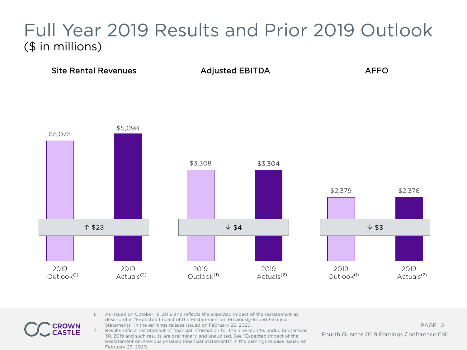## Full Year 2019 Results and Prior 2019 Outlook (\$ in millions)



- 1. As issued on October 16, 2019 and reflects the expected impact of the restatement as described in "Expected Impact of the Restatement on Previously-Issued Financial Statements" in the earnings release issued on February 26, 2020.
- 2. Results reflect restatement of financial information for the nine months ended September 30, 2019 and such results are preliminary and unaudited. See "Expected Impact of the Restatement on Previously-Issued Financial Statements" in the earnings release issued on February 26, 2020.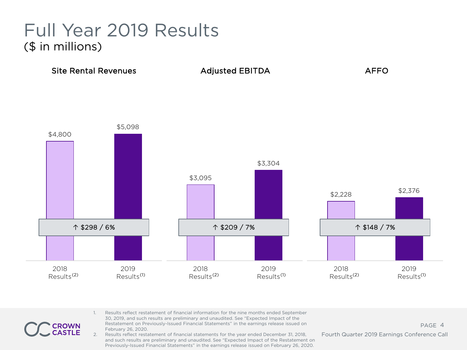#### Full Year 2019 Results (\$ in millions)

**ROWN CASTLE** 



- 1. Results reflect restatement of financial information for the nine months ended September 30, 2019, and such results are preliminary and unaudited. See "Expected Impact of the Restatement on Previously-Issued Financial Statements" in the earnings release issued on February 26, 2020.
- 2. Results reflect restatement of financial statements for the year ended December 31, 2018, and such results are preliminary and unaudited. See "Expected Impact of the Restatement on Previously-Issued Financial Statements" in the earnings release issued on February 26, 2020.

PAGE 4 Fourth Quarter 2019 Earnings Conference Call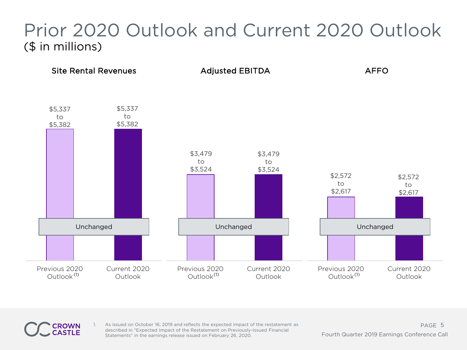# Prior 2020 Outlook and Current 2020 Outlook (\$ in millions)



**ASTLE** 

As issued on October 16, 2019 and reflects the expected impact of the restatement as described in "Expected Impact of the Restatement on Previously-Issued Financial Statements" in the earnings release issued on February 26, 2020.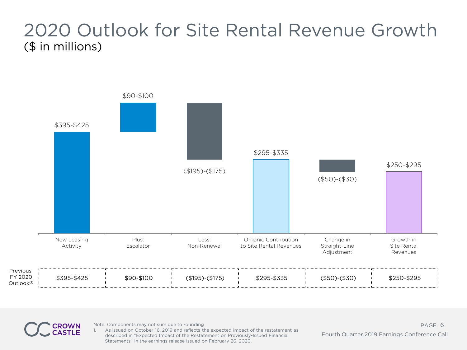# 2020 Outlook for Site Rental Revenue Growth (\$ in millions)





Note: Components may not sum due to rounding

As issued on October 16, 2019 and reflects the expected impact of the restatement as described in "Expected Impact of the Restatement on Previously-Issued Financial Statements" in the earnings release issued on February 26, 2020.